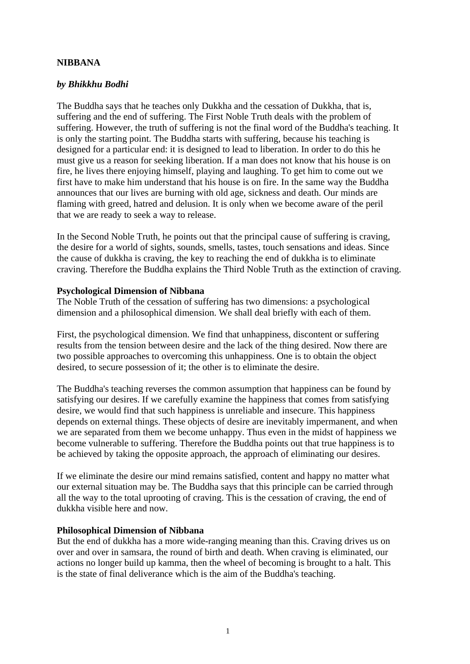# **NIBBANA**

### *by Bhikkhu Bodhi*

The Buddha says that he teaches only Dukkha and the cessation of Dukkha, that is, suffering and the end of suffering. The First Noble Truth deals with the problem of suffering. However, the truth of suffering is not the final word of the Buddha's teaching. It is only the starting point. The Buddha starts with suffering, because his teaching is designed for a particular end: it is designed to lead to liberation. In order to do this he must give us a reason for seeking liberation. If a man does not know that his house is on fire, he lives there enjoying himself, playing and laughing. To get him to come out we first have to make him understand that his house is on fire. In the same way the Buddha announces that our lives are burning with old age, sickness and death. Our minds are flaming with greed, hatred and delusion. It is only when we become aware of the peril that we are ready to seek a way to release.

In the Second Noble Truth, he points out that the principal cause of suffering is craving, the desire for a world of sights, sounds, smells, tastes, touch sensations and ideas. Since the cause of dukkha is craving, the key to reaching the end of dukkha is to eliminate craving. Therefore the Buddha explains the Third Noble Truth as the extinction of craving.

#### **Psychological Dimension of Nibbana**

The Noble Truth of the cessation of suffering has two dimensions: a psychological dimension and a philosophical dimension. We shall deal briefly with each of them.

First, the psychological dimension. We find that unhappiness, discontent or suffering results from the tension between desire and the lack of the thing desired. Now there are two possible approaches to overcoming this unhappiness. One is to obtain the object desired, to secure possession of it; the other is to eliminate the desire.

The Buddha's teaching reverses the common assumption that happiness can be found by satisfying our desires. If we carefully examine the happiness that comes from satisfying desire, we would find that such happiness is unreliable and insecure. This happiness depends on external things. These objects of desire are inevitably impermanent, and when we are separated from them we become unhappy. Thus even in the midst of happiness we become vulnerable to suffering. Therefore the Buddha points out that true happiness is to be achieved by taking the opposite approach, the approach of eliminating our desires.

If we eliminate the desire our mind remains satisfied, content and happy no matter what our external situation may be. The Buddha says that this principle can be carried through all the way to the total uprooting of craving. This is the cessation of craving, the end of dukkha visible here and now.

### **Philosophical Dimension of Nibbana**

But the end of dukkha has a more wide-ranging meaning than this. Craving drives us on over and over in samsara, the round of birth and death. When craving is eliminated, our actions no longer build up kamma, then the wheel of becoming is brought to a halt. This is the state of final deliverance which is the aim of the Buddha's teaching.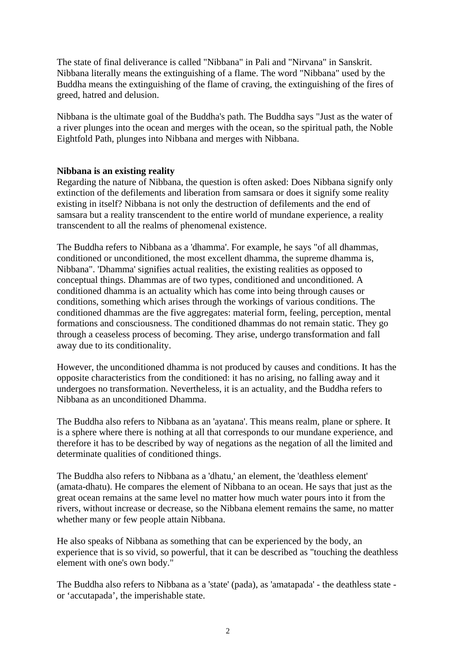The state of final deliverance is called "Nibbana" in Pali and "Nirvana" in Sanskrit. Nibbana literally means the extinguishing of a flame. The word "Nibbana" used by the Buddha means the extinguishing of the flame of craving, the extinguishing of the fires of greed, hatred and delusion.

Nibbana is the ultimate goal of the Buddha's path. The Buddha says "Just as the water of a river plunges into the ocean and merges with the ocean, so the spiritual path, the Noble Eightfold Path, plunges into Nibbana and merges with Nibbana.

# **Nibbana is an existing reality**

Regarding the nature of Nibbana, the question is often asked: Does Nibbana signify only extinction of the defilements and liberation from samsara or does it signify some reality existing in itself? Nibbana is not only the destruction of defilements and the end of samsara but a reality transcendent to the entire world of mundane experience, a reality transcendent to all the realms of phenomenal existence.

The Buddha refers to Nibbana as a 'dhamma'. For example, he says "of all dhammas, conditioned or unconditioned, the most excellent dhamma, the supreme dhamma is, Nibbana". 'Dhamma' signifies actual realities, the existing realities as opposed to conceptual things. Dhammas are of two types, conditioned and unconditioned. A conditioned dhamma is an actuality which has come into being through causes or conditions, something which arises through the workings of various conditions. The conditioned dhammas are the five aggregates: material form, feeling, perception, mental formations and consciousness. The conditioned dhammas do not remain static. They go through a ceaseless process of becoming. They arise, undergo transformation and fall away due to its conditionality.

However, the unconditioned dhamma is not produced by causes and conditions. It has the opposite characteristics from the conditioned: it has no arising, no falling away and it undergoes no transformation. Nevertheless, it is an actuality, and the Buddha refers to Nibbana as an unconditioned Dhamma.

The Buddha also refers to Nibbana as an 'ayatana'. This means realm, plane or sphere. It is a sphere where there is nothing at all that corresponds to our mundane experience, and therefore it has to be described by way of negations as the negation of all the limited and determinate qualities of conditioned things.

The Buddha also refers to Nibbana as a 'dhatu,' an element, the 'deathless element' (amata-dhatu). He compares the element of Nibbana to an ocean. He says that just as the great ocean remains at the same level no matter how much water pours into it from the rivers, without increase or decrease, so the Nibbana element remains the same, no matter whether many or few people attain Nibbana.

He also speaks of Nibbana as something that can be experienced by the body, an experience that is so vivid, so powerful, that it can be described as "touching the deathless element with one's own body."

The Buddha also refers to Nibbana as a 'state' (pada), as 'amatapada' - the deathless state or 'accutapada', the imperishable state.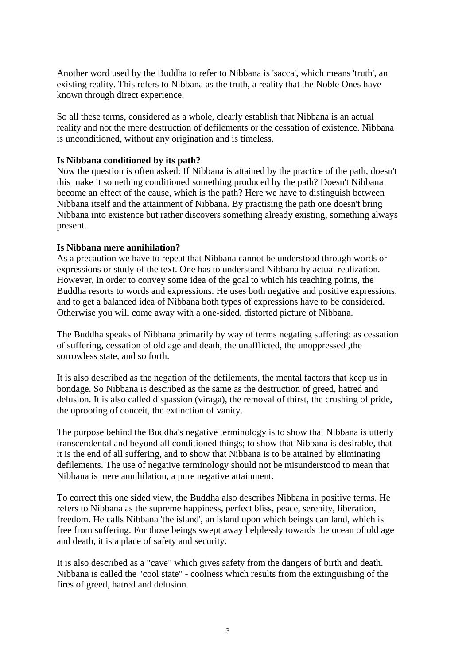Another word used by the Buddha to refer to Nibbana is 'sacca', which means 'truth', an existing reality. This refers to Nibbana as the truth, a reality that the Noble Ones have known through direct experience.

So all these terms, considered as a whole, clearly establish that Nibbana is an actual reality and not the mere destruction of defilements or the cessation of existence. Nibbana is unconditioned, without any origination and is timeless.

### **Is Nibbana conditioned by its path?**

Now the question is often asked: If Nibbana is attained by the practice of the path, doesn't this make it something conditioned something produced by the path? Doesn't Nibbana become an effect of the cause, which is the path? Here we have to distinguish between Nibbana itself and the attainment of Nibbana. By practising the path one doesn't bring Nibbana into existence but rather discovers something already existing, something always present.

# **Is Nibbana mere annihilation?**

As a precaution we have to repeat that Nibbana cannot be understood through words or expressions or study of the text. One has to understand Nibbana by actual realization. However, in order to convey some idea of the goal to which his teaching points, the Buddha resorts to words and expressions. He uses both negative and positive expressions, and to get a balanced idea of Nibbana both types of expressions have to be considered. Otherwise you will come away with a one-sided, distorted picture of Nibbana.

The Buddha speaks of Nibbana primarily by way of terms negating suffering: as cessation of suffering, cessation of old age and death, the unafflicted, the unoppressed ,the sorrowless state, and so forth.

It is also described as the negation of the defilements, the mental factors that keep us in bondage. So Nibbana is described as the same as the destruction of greed, hatred and delusion. It is also called dispassion (viraga), the removal of thirst, the crushing of pride, the uprooting of conceit, the extinction of vanity.

The purpose behind the Buddha's negative terminology is to show that Nibbana is utterly transcendental and beyond all conditioned things; to show that Nibbana is desirable, that it is the end of all suffering, and to show that Nibbana is to be attained by eliminating defilements. The use of negative terminology should not be misunderstood to mean that Nibbana is mere annihilation, a pure negative attainment.

To correct this one sided view, the Buddha also describes Nibbana in positive terms. He refers to Nibbana as the supreme happiness, perfect bliss, peace, serenity, liberation, freedom. He calls Nibbana 'the island', an island upon which beings can land, which is free from suffering. For those beings swept away helplessly towards the ocean of old age and death, it is a place of safety and security.

It is also described as a "cave" which gives safety from the dangers of birth and death. Nibbana is called the "cool state" - coolness which results from the extinguishing of the fires of greed, hatred and delusion.